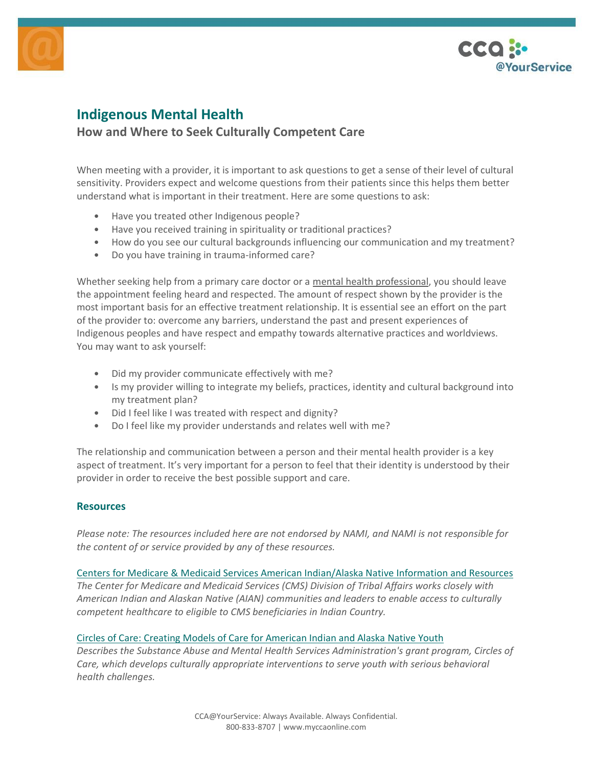



# **Indigenous Mental Health**

# **How and Where to Seek Culturally Competent Care**

When meeting with a provider, it is important to ask questions to get a sense of their level of cultural sensitivity. Providers expect and welcome questions from their patients since this helps them better understand what is important in their treatment. Here are some questions to ask:

- Have you treated other Indigenous people?
- Have you received training in spirituality or traditional practices?
- How do you see our cultural backgrounds influencing our communication and my treatment?
- Do you have training in trauma-informed care?

Whether seeking help from a primary care doctor or a mental health [professional,](https://www.nami.org/About-Mental-Illness/Treatments/Types-of-Mental-Health-Professionals) you should leave the appointment feeling heard and respected. The amount of respect shown by the provider is the most important basis for an effective treatment relationship. It is essential see an effort on the part of the provider to: overcome any barriers, understand the past and present experiences of Indigenous peoples and have respect and empathy towards alternative practices and worldviews. You may want to ask yourself:

- Did my provider communicate effectively with me?
- Is my provider willing to integrate my beliefs, practices, identity and cultural background into my treatment plan?
- Did I feel like I was treated with respect and dignity?
- Do I feel like my provider understands and relates well with me?

The relationship and communication between a person and their mental health provider is a key aspect of treatment. It's very important for a person to feel that their identity is understood by their provider in order to receive the best possible support and care.

# **Resources**

*Please note: The resources included here are not endorsed by NAMI, and NAMI is not responsible for the content of or service provided by any of these resources.*

Centers for Medicare & Medicaid Services American [Indian/Alaska](https://www.cms.gov/Outreach-and-Education/American-Indian-Alaska-Native/AIAN) Native Information and Resources *The Center for Medicare and Medicaid Services (CMS) Division of Tribal Affairs works closely with American Indian and Alaskan Native (AIAN) communities and leaders to enable access to culturally competent healthcare to eligible to CMS beneficiaries in Indian Country.*

# Circles of Care: Creating Models of Care for [American](https://www.samhsa.gov/tribal-ttac/circles-care) Indian and Alaska Native Youth

*Describes the Substance Abuse and Mental Health Services Administration's grant program, Circles of Care, which develops culturally appropriate interventions to serve youth with serious behavioral health challenges.*